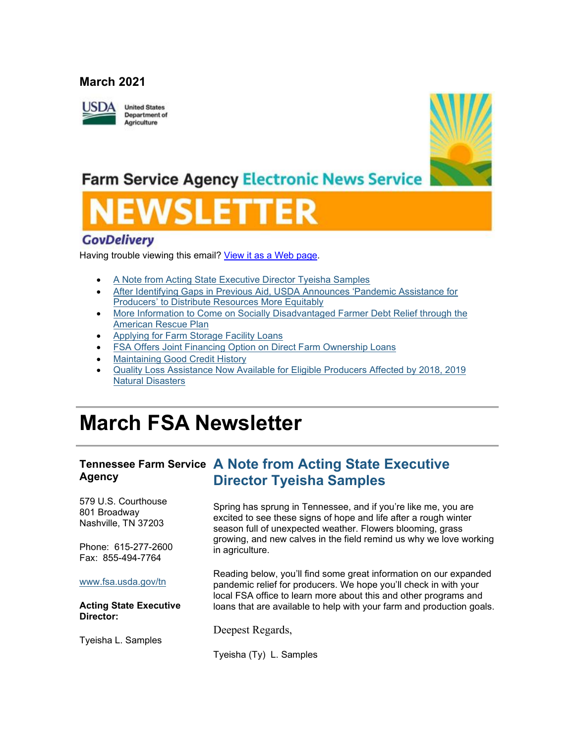### **March 2021**



**United States Department of** Agriculture



## **Farm Service Agency Electronic News Service**

## **GovDelivery**

Having trouble viewing this email? [View it as a Web page.](https://content.govdelivery.com/accounts/USFSA/bulletins/2ca15c5)

- [A Note from Acting State Executive Director Tyeisha Samples](https://admin.govdelivery.com/accounts/USFSA/bulletins?sortdesc=bulletinsort-sent_at&state=sent#link_2)
- [After Identifying Gaps in Previous Aid, USDA Announces 'Pandemic Assistance for](https://admin.govdelivery.com/accounts/USFSA/bulletins?sortdesc=bulletinsort-sent_at&state=sent#link_4)  [Producers' to Distribute Resources More Equitably](https://admin.govdelivery.com/accounts/USFSA/bulletins?sortdesc=bulletinsort-sent_at&state=sent#link_4)
- [More Information to Come on Socially Disadvantaged Farmer Debt Relief through the](https://admin.govdelivery.com/accounts/USFSA/bulletins?sortdesc=bulletinsort-sent_at&state=sent#link_6)  [American Rescue Plan](https://admin.govdelivery.com/accounts/USFSA/bulletins?sortdesc=bulletinsort-sent_at&state=sent#link_6)
- [Applying for Farm Storage Facility Loans](https://admin.govdelivery.com/accounts/USFSA/bulletins?sortdesc=bulletinsort-sent_at&state=sent#link_9)
- [FSA Offers Joint Financing Option on Direct Farm Ownership Loans](https://admin.govdelivery.com/accounts/USFSA/bulletins?sortdesc=bulletinsort-sent_at&state=sent#link_7)
- **[Maintaining Good Credit History](https://admin.govdelivery.com/accounts/USFSA/bulletins?sortdesc=bulletinsort-sent_at&state=sent#link_8)**
- [Quality Loss Assistance Now Available for Eligible Producers Affected by 2018, 2019](https://admin.govdelivery.com/accounts/USFSA/bulletins?sortdesc=bulletinsort-sent_at&state=sent#link_3)  [Natural Disasters](https://admin.govdelivery.com/accounts/USFSA/bulletins?sortdesc=bulletinsort-sent_at&state=sent#link_3)

# **March FSA Newsletter**

#### **Tennessee Farm Service A Note from Acting State Executive Agency Director Tyeisha Samples**

579 U.S. Courthouse 801 Broadway Nashville, TN 37203

Phone: 615-277-2600 Fax: 855-494-7764

[www.fsa.usda.gov/tn](http://www.fsa.usda.gov/xx?utm_medium=email&utm_source=govdelivery)

#### **Acting State Executive Director:**

Tyeisha L. Samples

Spring has sprung in Tennessee, and if you're like me, you are excited to see these signs of hope and life after a rough winter season full of unexpected weather. Flowers blooming, grass growing, and new calves in the field remind us why we love working in agriculture.

Reading below, you'll find some great information on our expanded pandemic relief for producers. We hope you'll check in with your local FSA office to learn more about this and other programs and loans that are available to help with your farm and production goals.

Deepest Regards,

Tyeisha (Ty) L. Samples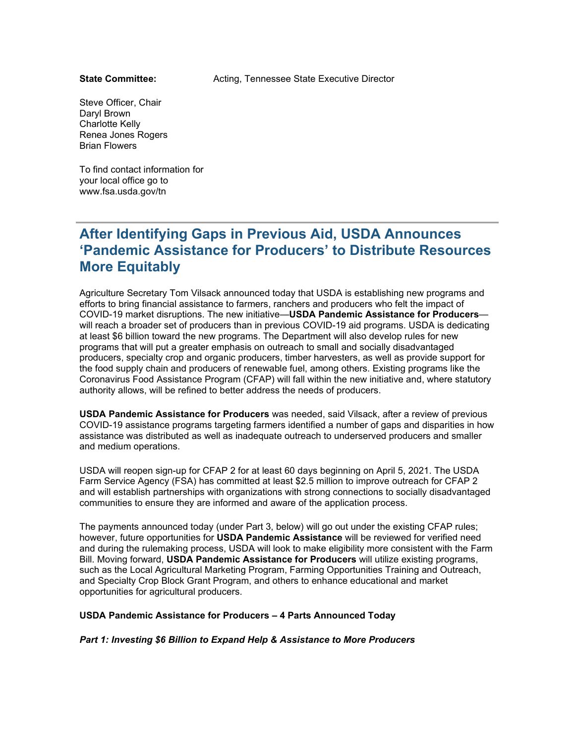#### **State Committee:**

Acting, Tennessee State Executive Director

Steve Officer, Chair Daryl Brown Charlotte Kelly Renea Jones Rogers Brian Flowers

To find contact information for your local office go to www.fsa.usda.gov/tn

## **After Identifying Gaps in Previous Aid, USDA Announces 'Pandemic Assistance for Producers' to Distribute Resources More Equitably**

Agriculture Secretary Tom Vilsack announced today that USDA is establishing new programs and efforts to bring financial assistance to farmers, ranchers and producers who felt the impact of COVID-19 market disruptions. The new initiative—**USDA Pandemic Assistance for Producers** will reach a broader set of producers than in previous COVID-19 aid programs. USDA is dedicating at least \$6 billion toward the new programs. The Department will also develop rules for new programs that will put a greater emphasis on outreach to small and socially disadvantaged producers, specialty crop and organic producers, timber harvesters, as well as provide support for the food supply chain and producers of renewable fuel, among others. Existing programs like the Coronavirus Food Assistance Program (CFAP) will fall within the new initiative and, where statutory authority allows, will be refined to better address the needs of producers.

**USDA Pandemic Assistance for Producers** was needed, said Vilsack, after a review of previous COVID-19 assistance programs targeting farmers identified a number of gaps and disparities in how assistance was distributed as well as inadequate outreach to underserved producers and smaller and medium operations.

USDA will reopen sign-up for CFAP 2 for at least 60 days beginning on April 5, 2021. The USDA Farm Service Agency (FSA) has committed at least \$2.5 million to improve outreach for CFAP 2 and will establish partnerships with organizations with strong connections to socially disadvantaged communities to ensure they are informed and aware of the application process.

The payments announced today (under Part 3, below) will go out under the existing CFAP rules; however, future opportunities for **USDA Pandemic Assistance** will be reviewed for verified need and during the rulemaking process, USDA will look to make eligibility more consistent with the Farm Bill. Moving forward, **USDA Pandemic Assistance for Producers** will utilize existing programs, such as the Local Agricultural Marketing Program, Farming Opportunities Training and Outreach, and Specialty Crop Block Grant Program, and others to enhance educational and market opportunities for agricultural producers.

#### **USDA Pandemic Assistance for Producers – 4 Parts Announced Today**

*Part 1: Investing \$6 Billion to Expand Help & Assistance to More Producers*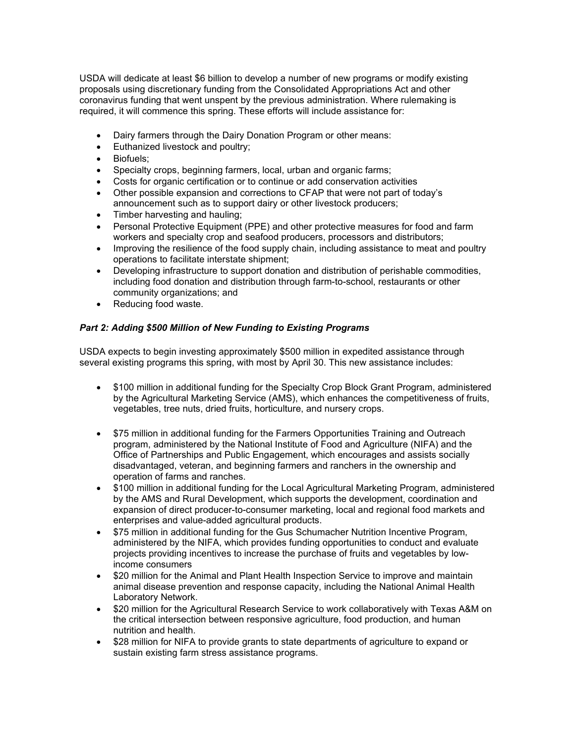USDA will dedicate at least \$6 billion to develop a number of new programs or modify existing proposals using discretionary funding from the Consolidated Appropriations Act and other coronavirus funding that went unspent by the previous administration. Where rulemaking is required, it will commence this spring. These efforts will include assistance for:

- Dairy farmers through the Dairy Donation Program or other means:
- Euthanized livestock and poultry;
- Biofuels;
- Specialty crops, beginning farmers, local, urban and organic farms;
- Costs for organic certification or to continue or add conservation activities
- Other possible expansion and corrections to CFAP that were not part of today's announcement such as to support dairy or other livestock producers;
- Timber harvesting and hauling;
- Personal Protective Equipment (PPE) and other protective measures for food and farm workers and specialty crop and seafood producers, processors and distributors;
- Improving the resilience of the food supply chain, including assistance to meat and poultry operations to facilitate interstate shipment;
- Developing infrastructure to support donation and distribution of perishable commodities, including food donation and distribution through farm-to-school, restaurants or other community organizations; and
- Reducing food waste.

#### *Part 2: Adding \$500 Million of New Funding to Existing Programs*

USDA expects to begin investing approximately \$500 million in expedited assistance through several existing programs this spring, with most by April 30. This new assistance includes:

- \$100 million in additional funding for the Specialty Crop Block Grant Program, administered by the Agricultural Marketing Service (AMS), which enhances the competitiveness of fruits, vegetables, tree nuts, dried fruits, horticulture, and nursery crops.
- \$75 million in additional funding for the Farmers Opportunities Training and Outreach program, administered by the National Institute of Food and Agriculture (NIFA) and the Office of Partnerships and Public Engagement, which encourages and assists socially disadvantaged, veteran, and beginning farmers and ranchers in the ownership and operation of farms and ranches.
- \$100 million in additional funding for the Local Agricultural Marketing Program, administered by the AMS and Rural Development, which supports the development, coordination and expansion of direct producer-to-consumer marketing, local and regional food markets and enterprises and value-added agricultural products.
- \$75 million in additional funding for the Gus Schumacher Nutrition Incentive Program, administered by the NIFA, which provides funding opportunities to conduct and evaluate projects providing incentives to increase the purchase of fruits and vegetables by lowincome consumers
- \$20 million for the Animal and Plant Health Inspection Service to improve and maintain animal disease prevention and response capacity, including the National Animal Health Laboratory Network.
- \$20 million for the Agricultural Research Service to work collaboratively with Texas A&M on the critical intersection between responsive agriculture, food production, and human nutrition and health.
- \$28 million for NIFA to provide grants to state departments of agriculture to expand or sustain existing farm stress assistance programs.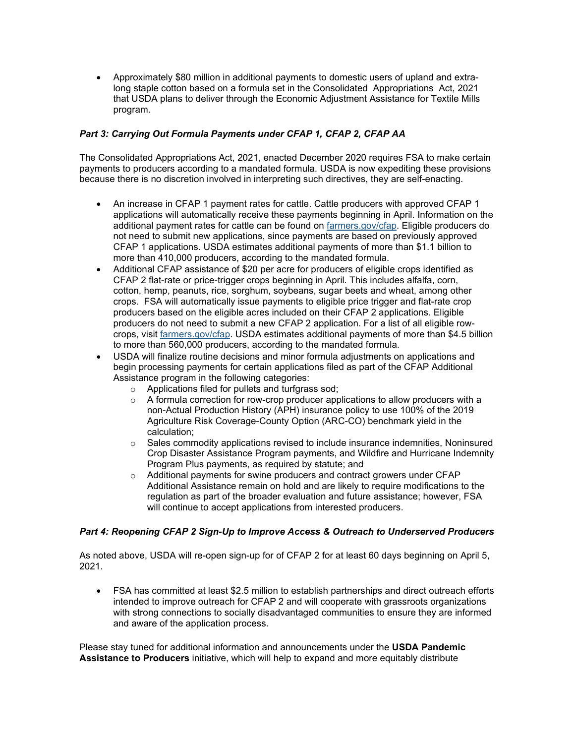• Approximately \$80 million in additional payments to domestic users of upland and extralong staple cotton based on a formula set in the Consolidated Appropriations Act, 2021 that USDA plans to deliver through the Economic Adjustment Assistance for Textile Mills program.

### *Part 3: Carrying Out Formula Payments under CFAP 1, CFAP 2, CFAP AA*

The Consolidated Appropriations Act, 2021, enacted December 2020 requires FSA to make certain payments to producers according to a mandated formula. USDA is now expediting these provisions because there is no discretion involved in interpreting such directives, they are self-enacting.

- An increase in CFAP 1 payment rates for cattle. Cattle producers with approved CFAP 1 applications will automatically receive these payments beginning in April. Information on the additional payment rates for cattle can be found on [farmers.gov/cfap.](http://www.farmers.gov/CFAP?utm_medium=email&utm_source=govdelivery) Eligible producers do not need to submit new applications, since payments are based on previously approved CFAP 1 applications. USDA estimates additional payments of more than \$1.1 billion to more than 410,000 producers, according to the mandated formula.
- Additional CFAP assistance of \$20 per acre for producers of eligible crops identified as CFAP 2 flat-rate or price-trigger crops beginning in April. This includes alfalfa, corn, cotton, hemp, peanuts, rice, sorghum, soybeans, sugar beets and wheat, among other crops. FSA will automatically issue payments to eligible price trigger and flat-rate crop producers based on the eligible acres included on their CFAP 2 applications. Eligible producers do not need to submit a new CFAP 2 application. For a list of all eligible rowcrops, visit [farmers.gov/cfap.](http://www.farmers.gov/CFAP?utm_medium=email&utm_source=govdelivery) USDA estimates additional payments of more than \$4.5 billion to more than 560,000 producers, according to the mandated formula.
- USDA will finalize routine decisions and minor formula adjustments on applications and begin processing payments for certain applications filed as part of the CFAP Additional Assistance program in the following categories:
	- o Applications filed for pullets and turfgrass sod;
	- $\circ$  A formula correction for row-crop producer applications to allow producers with a non-Actual Production History (APH) insurance policy to use 100% of the 2019 Agriculture Risk Coverage-County Option (ARC-CO) benchmark yield in the calculation;
	- $\circ$  Sales commodity applications revised to include insurance indemnities, Noninsured Crop Disaster Assistance Program payments, and Wildfire and Hurricane Indemnity Program Plus payments, as required by statute; and
	- o Additional payments for swine producers and contract growers under CFAP Additional Assistance remain on hold and are likely to require modifications to the regulation as part of the broader evaluation and future assistance; however, FSA will continue to accept applications from interested producers.

#### *Part 4: Reopening CFAP 2 Sign-Up to Improve Access & Outreach to Underserved Producers*

As noted above, USDA will re-open sign-up for of CFAP 2 for at least 60 days beginning on April 5, 2021.

• FSA has committed at least \$2.5 million to establish partnerships and direct outreach efforts intended to improve outreach for CFAP 2 and will cooperate with grassroots organizations with strong connections to socially disadvantaged communities to ensure they are informed and aware of the application process.

Please stay tuned for additional information and announcements under the **USDA Pandemic Assistance to Producers** initiative, which will help to expand and more equitably distribute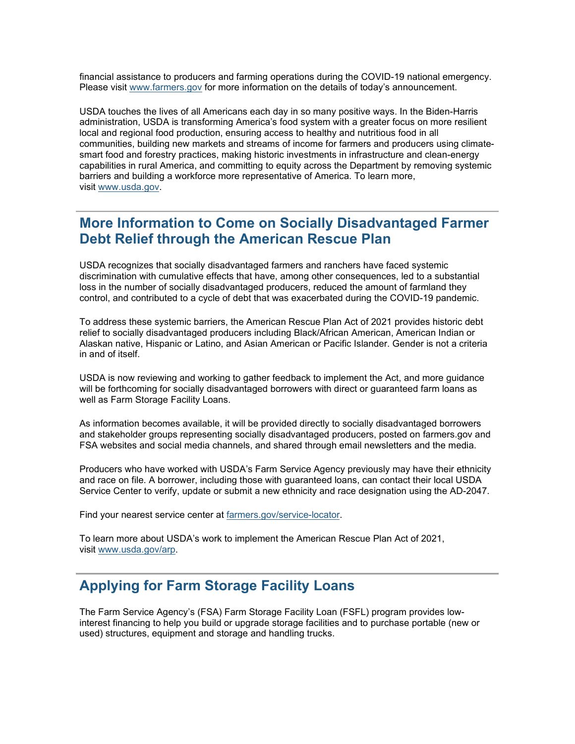financial assistance to producers and farming operations during the COVID-19 national emergency. Please visit [www.farmers.gov](http://www.farmers.gov/?utm_medium=email&utm_source=govdelivery) for more information on the details of today's announcement.

USDA touches the lives of all Americans each day in so many positive ways. In the Biden-Harris administration, USDA is transforming America's food system with a greater focus on more resilient local and regional food production, ensuring access to healthy and nutritious food in all communities, building new markets and streams of income for farmers and producers using climatesmart food and forestry practices, making historic investments in infrastructure and clean-energy capabilities in rural America, and committing to equity across the Department by removing systemic barriers and building a workforce more representative of America. To learn more, visit [www.usda.gov.](http://www.usda.gov/?utm_medium=email&utm_source=govdelivery)

## **More Information to Come on Socially Disadvantaged Farmer Debt Relief through the American Rescue Plan**

USDA recognizes that socially disadvantaged farmers and ranchers have faced systemic discrimination with cumulative effects that have, among other consequences, led to a substantial loss in the number of socially disadvantaged producers, reduced the amount of farmland they control, and contributed to a cycle of debt that was exacerbated during the COVID-19 pandemic.

To address these systemic barriers, the American Rescue Plan Act of 2021 provides historic debt relief to socially disadvantaged producers including Black/African American, American Indian or Alaskan native, Hispanic or Latino, and Asian American or Pacific Islander. Gender is not a criteria in and of itself.

USDA is now reviewing and working to gather feedback to implement the Act, and more guidance will be forthcoming for socially disadvantaged borrowers with direct or guaranteed farm loans as well as Farm Storage Facility Loans.

As information becomes available, it will be provided directly to socially disadvantaged borrowers and stakeholder groups representing socially disadvantaged producers, posted on farmers.gov and FSA websites and social media channels, and shared through email newsletters and the media.

Producers who have worked with USDA's Farm Service Agency previously may have their ethnicity and race on file. A borrower, including those with guaranteed loans, can contact their local USDA Service Center to verify, update or submit a new ethnicity and race designation using the AD-2047.

Find your nearest service center at [farmers.gov/service-locator.](http://www.farmers.gov/service-locator?utm_medium=email&utm_source=govdelivery)

To learn more about USDA's work to implement the American Rescue Plan Act of 2021, visit [www.usda.gov/arp.](http://www.usda.gov/arp?utm_medium=email&utm_source=govdelivery)

## **Applying for Farm Storage Facility Loans**

The Farm Service Agency's (FSA) Farm Storage Facility Loan (FSFL) program provides lowinterest financing to help you build or upgrade storage facilities and to purchase portable (new or used) structures, equipment and storage and handling trucks.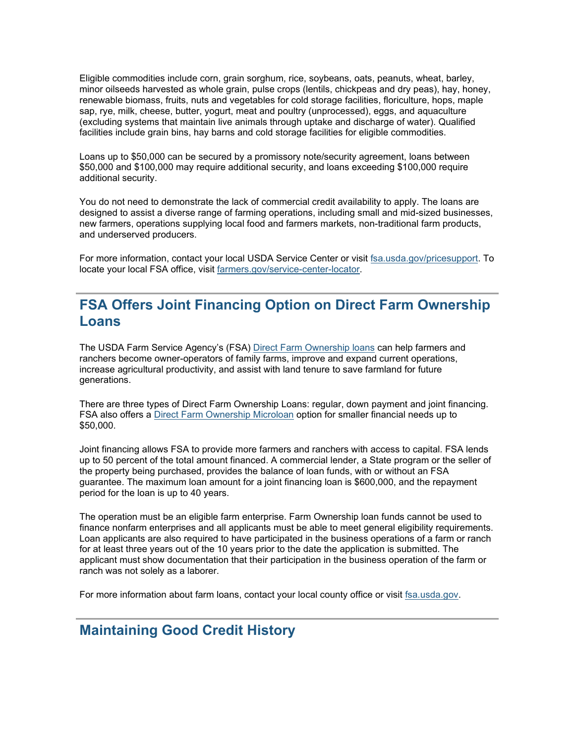Eligible commodities include corn, grain sorghum, rice, soybeans, oats, peanuts, wheat, barley, minor oilseeds harvested as whole grain, pulse crops (lentils, chickpeas and dry peas), hay, honey, renewable biomass, fruits, nuts and vegetables for cold storage facilities, floriculture, hops, maple sap, rye, milk, cheese, butter, yogurt, meat and poultry (unprocessed), eggs, and aquaculture (excluding systems that maintain live animals through uptake and discharge of water). Qualified facilities include grain bins, hay barns and cold storage facilities for eligible commodities.

Loans up to \$50,000 can be secured by a promissory note/security agreement, loans between \$50,000 and \$100,000 may require additional security, and loans exceeding \$100,000 require additional security.

You do not need to demonstrate the lack of commercial credit availability to apply. The loans are designed to assist a diverse range of farming operations, including small and mid-sized businesses, new farmers, operations supplying local food and farmers markets, non-traditional farm products, and underserved producers.

For more information, contact your local USDA Service Center or visit [fsa.usda.gov/pricesupport.](http://www.fsa.usda.gov/pricesupport?utm_medium=email&utm_source=govdelivery) To locate your local FSA office, visit [farmers.gov/service-center-locator.](https://www.farmers.gov/service-center-locator?utm_medium=email&utm_source=govdelivery)

## **FSA Offers Joint Financing Option on Direct Farm Ownership Loans**

The USDA Farm Service Agency's (FSA) [Direct Farm Ownership loans](https://www.fsa.usda.gov/programs-and-services/farm-loan-programs/farm-ownership-loans/index?utm_medium=email&utm_source=govdelivery) can help farmers and ranchers become owner-operators of family farms, improve and expand current operations, increase agricultural productivity, and assist with land tenure to save farmland for future generations.

There are three types of Direct Farm Ownership Loans: regular, down payment and joint financing. FSA also offers a [Direct Farm Ownership Microloan](https://www.fsa.usda.gov/programs-and-services/farm-loan-programs/microloans/index?utm_medium=email&utm_source=govdelivery) option for smaller financial needs up to \$50,000.

Joint financing allows FSA to provide more farmers and ranchers with access to capital. FSA lends up to 50 percent of the total amount financed. A commercial lender, a State program or the seller of the property being purchased, provides the balance of loan funds, with or without an FSA guarantee. The maximum loan amount for a joint financing loan is \$600,000, and the repayment period for the loan is up to 40 years.

The operation must be an eligible farm enterprise. Farm Ownership loan funds cannot be used to finance nonfarm enterprises and all applicants must be able to meet general eligibility requirements. Loan applicants are also required to have participated in the business operations of a farm or ranch for at least three years out of the 10 years prior to the date the application is submitted. The applicant must show documentation that their participation in the business operation of the farm or ranch was not solely as a laborer.

For more information about farm loans, contact your local county office or visit [fsa.usda.gov.](http://www.fsa.usda.gov/?utm_medium=email&utm_source=govdelivery)

## **Maintaining Good Credit History**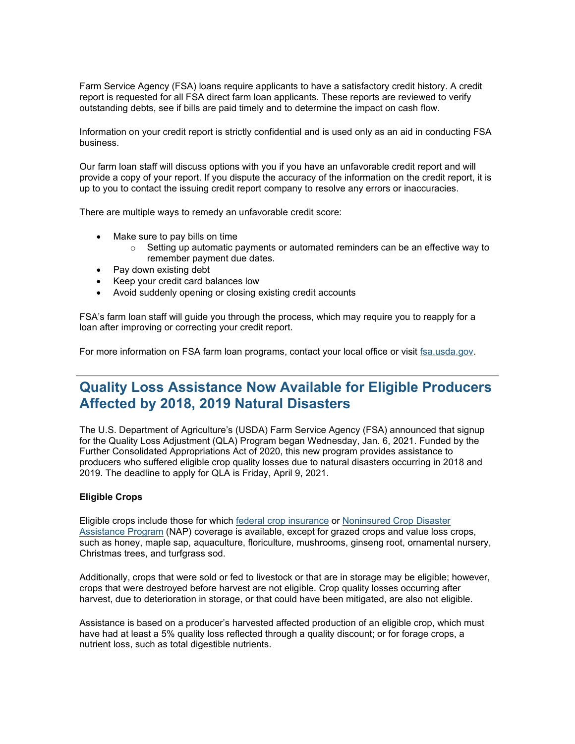Farm Service Agency (FSA) loans require applicants to have a satisfactory credit history. A credit report is requested for all FSA direct farm loan applicants. These reports are reviewed to verify outstanding debts, see if bills are paid timely and to determine the impact on cash flow.

Information on your credit report is strictly confidential and is used only as an aid in conducting FSA business.

Our farm loan staff will discuss options with you if you have an unfavorable credit report and will provide a copy of your report. If you dispute the accuracy of the information on the credit report, it is up to you to contact the issuing credit report company to resolve any errors or inaccuracies.

There are multiple ways to remedy an unfavorable credit score:

- Make sure to pay bills on time
	- $\circ$  Setting up automatic payments or automated reminders can be an effective way to remember payment due dates.
- Pay down existing debt
- Keep your credit card balances low
- Avoid suddenly opening or closing existing credit accounts

FSA's farm loan staff will guide you through the process, which may require you to reapply for a loan after improving or correcting your credit report.

For more information on FSA farm loan programs, contact your local office or visit [fsa.usda.gov.](http://www.fsa.usda.gov/?utm_medium=email&utm_source=govdelivery)

## **Quality Loss Assistance Now Available for Eligible Producers Affected by 2018, 2019 Natural Disasters**

The U.S. Department of Agriculture's (USDA) Farm Service Agency (FSA) announced that signup for the Quality Loss Adjustment (QLA) Program began Wednesday, Jan. 6, 2021. Funded by the Further Consolidated Appropriations Act of 2020, this new program provides assistance to producers who suffered eligible crop quality losses due to natural disasters occurring in 2018 and 2019. The deadline to apply for QLA is Friday, April 9, 2021.

#### **Eligible Crops**

Eligible crops include those for which [federal crop insurance](http://www.rma.usda.gov/?utm_medium=email&utm_source=govdelivery) or [Noninsured Crop Disaster](https://www.fsa.usda.gov/programs-and-services/disaster-assistance-program/noninsured-crop-disaster-assistance/index?utm_medium=email&utm_source=govdelivery)  [Assistance Program](https://www.fsa.usda.gov/programs-and-services/disaster-assistance-program/noninsured-crop-disaster-assistance/index?utm_medium=email&utm_source=govdelivery) (NAP) coverage is available, except for grazed crops and value loss crops, such as honey, maple sap, aquaculture, floriculture, mushrooms, ginseng root, ornamental nursery, Christmas trees, and turfgrass sod.

Additionally, crops that were sold or fed to livestock or that are in storage may be eligible; however, crops that were destroyed before harvest are not eligible. Crop quality losses occurring after harvest, due to deterioration in storage, or that could have been mitigated, are also not eligible.

Assistance is based on a producer's harvested affected production of an eligible crop, which must have had at least a 5% quality loss reflected through a quality discount; or for forage crops, a nutrient loss, such as total digestible nutrients.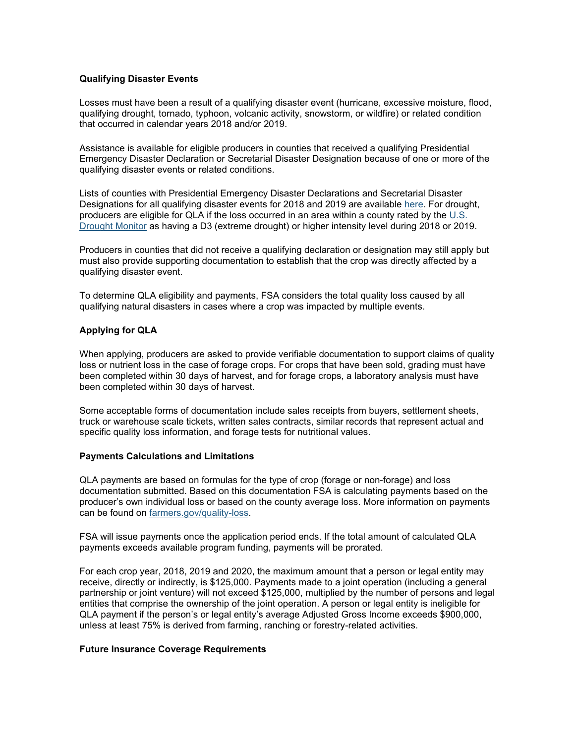#### **Qualifying Disaster Events**

Losses must have been a result of a qualifying disaster event (hurricane, excessive moisture, flood, qualifying drought, tornado, typhoon, volcanic activity, snowstorm, or wildfire) or related condition that occurred in calendar years 2018 and/or 2019.

Assistance is available for eligible producers in counties that received a qualifying Presidential Emergency Disaster Declaration or Secretarial Disaster Designation because of one or more of the qualifying disaster events or related conditions.

Lists of counties with Presidential Emergency Disaster Declarations and Secretarial Disaster Designations for all qualifying disaster events for 2018 and 2019 are available [here.](https://www.farmers.gov/recover/whip-plus/eligible-counties?utm_medium=email&utm_source=govdelivery) For drought, producers are eligible for QLA if the loss occurred in an area within a county rated by the [U.S.](https://droughtmonitor.unl.edu/?utm_medium=email&utm_source=govdelivery)  [Drought Monitor](https://droughtmonitor.unl.edu/?utm_medium=email&utm_source=govdelivery) as having a D3 (extreme drought) or higher intensity level during 2018 or 2019.

Producers in counties that did not receive a qualifying declaration or designation may still apply but must also provide supporting documentation to establish that the crop was directly affected by a qualifying disaster event.

To determine QLA eligibility and payments, FSA considers the total quality loss caused by all qualifying natural disasters in cases where a crop was impacted by multiple events.

#### **Applying for QLA**

When applying, producers are asked to provide verifiable documentation to support claims of quality loss or nutrient loss in the case of forage crops. For crops that have been sold, grading must have been completed within 30 days of harvest, and for forage crops, a laboratory analysis must have been completed within 30 days of harvest.

Some acceptable forms of documentation include sales receipts from buyers, settlement sheets, truck or warehouse scale tickets, written sales contracts, similar records that represent actual and specific quality loss information, and forage tests for nutritional values.

#### **Payments Calculations and Limitations**

QLA payments are based on formulas for the type of crop (forage or non-forage) and loss documentation submitted. Based on this documentation FSA is calculating payments based on the producer's own individual loss or based on the county average loss. More information on payments can be found on [farmers.gov/quality-loss.](http://www.farmers.gov/quality-loss?utm_medium=email&utm_source=govdelivery)

FSA will issue payments once the application period ends. If the total amount of calculated QLA payments exceeds available program funding, payments will be prorated.

For each crop year, 2018, 2019 and 2020, the maximum amount that a person or legal entity may receive, directly or indirectly, is \$125,000. Payments made to a joint operation (including a general partnership or joint venture) will not exceed \$125,000, multiplied by the number of persons and legal entities that comprise the ownership of the joint operation. A person or legal entity is ineligible for QLA payment if the person's or legal entity's average Adjusted Gross Income exceeds \$900,000, unless at least 75% is derived from farming, ranching or forestry-related activities.

#### **Future Insurance Coverage Requirements**